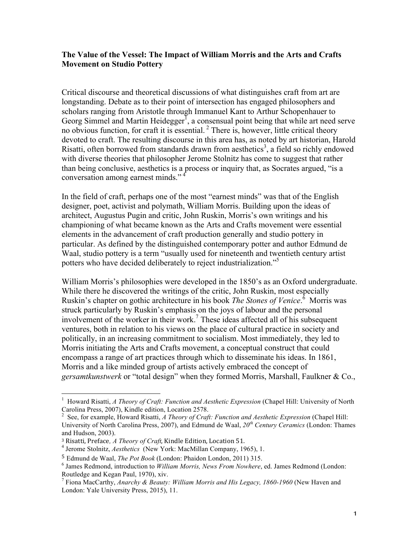## **The Value of the Vessel: The Impact of William Morris and the Arts and Crafts Movement on Studio Pottery**

Critical discourse and theoretical discussions of what distinguishes craft from art are longstanding. Debate as to their point of intersection has engaged philosophers and scholars ranging from Aristotle through Immanuel Kant to Arthur Schopenhauer to Georg Simmel and Martin Heidegger<sup>I</sup>, a consensual point being that while art need serve no obvious function, for craft it is essential.<sup>2</sup> There is, however, little critical theory devoted to craft. The resulting discourse in this area has, as noted by art historian, Harold Risatti, often borrowed from standards drawn from aesthetics<sup>3</sup>, a field so richly endowed with diverse theories that philosopher Jerome Stolnitz has come to suggest that rather than being conclusive, aesthetics is a process or inquiry that, as Socrates argued, "is a conversation among earnest minds."<sup>4</sup>

In the field of craft, perhaps one of the most "earnest minds" was that of the English designer, poet, activist and polymath, William Morris. Building upon the ideas of architect, Augustus Pugin and critic, John Ruskin, Morris's own writings and his championing of what became known as the Arts and Crafts movement were essential elements in the advancement of craft production generally and studio pottery in particular. As defined by the distinguished contemporary potter and author Edmund de Waal, studio pottery is a term "usually used for nineteenth and twentieth century artist potters who have decided deliberately to reject industrialization."<sup>5</sup>

William Morris's philosophies were developed in the 1850's as an Oxford undergraduate. While there he discovered the writings of the critic, John Ruskin, most especially Ruskin's chapter on gothic architecture in his book *The Stones of Venice*. 6 Morris was struck particularly by Ruskin's emphasis on the joys of labour and the personal involvement of the worker in their work. <sup>7</sup> These ideas affected all of his subsequent ventures, both in relation to his views on the place of cultural practice in society and politically, in an increasing commitment to socialism. Most immediately, they led to Morris initiating the Arts and Crafts movement, a conceptual construct that could encompass a range of art practices through which to disseminate his ideas. In 1861, Morris and a like minded group of artists actively embraced the concept of *gersamtkunstwerk* or "total design" when they formed Morris, Marshall, Faulkner & Co.,

 <sup>1</sup> Howard Risatti, *A Theory of Craft: Function and Aesthetic Expression* (Chapel Hill: University of North Carolina Press, 2007), Kindle edition, Location 2578.

<sup>2</sup> See, for example, Howard Risatti, *A Theory of Craft: Function and Aesthetic Expression* (Chapel Hill: University of North Carolina Press, 2007), and Edmund de Waal, *20th Century Ceramics* (London: Thames and Hudson, 2003).<br><sup>3</sup> Risatti, Preface, *A Theory of Craft*, Kindle Edition, Location 51.

<sup>&</sup>lt;sup>4</sup> Jerome Stolnitz, *Aesthetics* (New York: MacMillan Company, 1965), 1.

<sup>5</sup> Edmund de Waal, *The Pot Book* (London: Phaidon London, 2011) 315.

<sup>6</sup> James Redmond, introduction to *William Morris, News From Nowhere*, ed. James Redmond (London:

<sup>&</sup>lt;sup>7</sup> Fiona MacCarthy, *Anarchy & Beauty: William Morris and His Legacy, 1860-1960* (New Haven and London: Yale University Press, 2015), 11.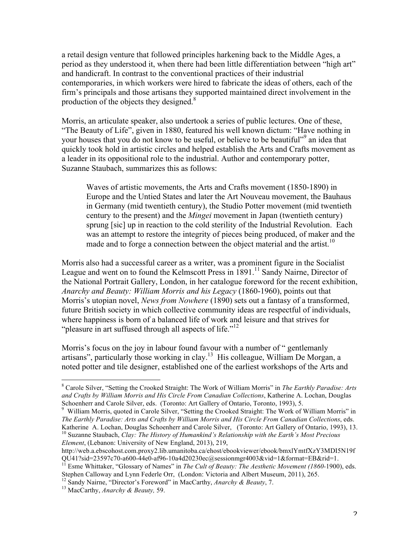a retail design venture that followed principles harkening back to the Middle Ages, a period as they understood it, when there had been little differentiation between "high art" and handicraft. In contrast to the conventional practices of their industrial contemporaries, in which workers were hired to fabricate the ideas of others, each of the firm's principals and those artisans they supported maintained direct involvement in the production of the objects they designed.<sup>8</sup>

Morris, an articulate speaker, also undertook a series of public lectures. One of these, "The Beauty of Life", given in 1880, featured his well known dictum: "Have nothing in your houses that you do not know to be useful, or believe to be beautiful"<sup>9</sup> an idea that quickly took hold in artistic circles and helped establish the Arts and Crafts movement as a leader in its oppositional role to the industrial. Author and contemporary potter, Suzanne Staubach, summarizes this as follows:

Waves of artistic movements, the Arts and Crafts movement (1850-1890) in Europe and the Untied States and later the Art Nouveau movement, the Bauhaus in Germany (mid twentieth century), the Studio Potter movement (mid twentieth century to the present) and the *Mingei* movement in Japan (twentieth century) sprung [sic] up in reaction to the cold sterility of the Industrial Revolution. Each was an attempt to restore the integrity of pieces being produced, of maker and the made and to forge a connection between the object material and the artist.<sup>10</sup>

Morris also had a successful career as a writer, was a prominent figure in the Socialist League and went on to found the Kelmscott Press in  $1891$ <sup>11</sup> Sandy Nairne, Director of the National Portrait Gallery, London, in her catalogue foreword for the recent exhibition, *Anarchy and Beauty: William Morris and his Legacy* (1860-1960), points out that Morris's utopian novel, *News from Nowhere* (1890) sets out a fantasy of a transformed, future British society in which collective community ideas are respectful of individuals, where happiness is born of a balanced life of work and leisure and that strives for "pleasure in art suffused through all aspects of life."<sup>12</sup>

Morris's focus on the joy in labour found favour with a number of " gentlemanly artisans", particularly those working in clay.13 His colleague, William De Morgan, a noted potter and tile designer, established one of the earliest workshops of the Arts and

 <sup>8</sup> Carole Silver, "Setting the Crooked Straight: The Work of William Morris" in *The Earthly Paradise: Arts and Crafts by William Morris and His Circle From Canadian Collections*, Katherine A. Lochan, Douglas Schoenherr and Carole Silver, eds. (Toronto: Art Gallery of Ontario, Toronto, 1993), 5.<br><sup>9</sup> William Morris, quoted in Carole Silver, "Setting the Crooked Straight: The Work of William Morris" in

*The Earthly Paradise: Arts and Crafts by William Morris and His Circle From Canadian Collections*, eds. Katherine A. Lochan, Douglas Schoenherr and Carole Silver, (Toronto: Art Gallery of Ontario, 1993), 13. <sup>10</sup> Suzanne Staubach, *Clay: The History of Humankind's Relationship with the Earth's Most Precious Element*, (Lebanon: University of New England, 2013), 219,

http://web.a.ebscohost.com.proxy2.lib.umanitoba.ca/ehost/ebookviewer/ebook/bmxlYmtfXzY3MDI5N19f QU41?sid=23597c70-a600-44e0-af96-10a4d20230ec@sessionmgr4003&vid=1&format=EB&rid=1.<br><sup>11</sup> Esme Whittaker, "Glossary of Names" in *The Cult of Beauty: The Aesthetic Movement (1860-1900), eds.* 

Stephen Calloway and Lynn Federle Orr, (London: Victoria and Albert Museum, 2011), 265.

<sup>12</sup> Sandy Nairne, "Director's Foreword" in MacCarthy, *Anarchy & Beauty*, 7. <sup>13</sup> MacCarthy, *Anarchy & Beauty,* 59.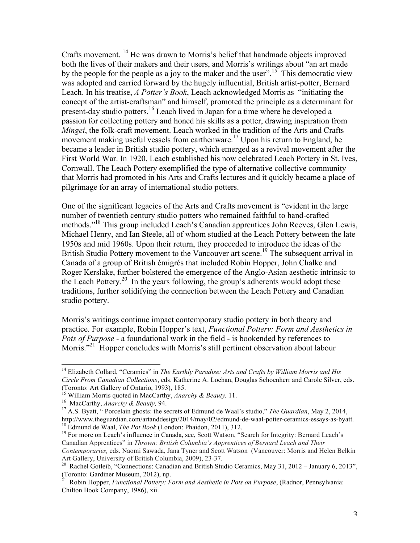Crafts movement. <sup>14</sup> He was drawn to Morris's belief that handmade objects improved both the lives of their makers and their users, and Morris's writings about "an art made by the people for the people as a joy to the maker and the user".<sup>15</sup> This democratic view was adopted and carried forward by the hugely influential, British artist-potter, Bernard Leach. In his treatise, *A Potter's Book*, Leach acknowledged Morris as "initiating the concept of the artist-craftsman" and himself, promoted the principle as a determinant for present-day studio potters.<sup>16</sup> Leach lived in Japan for a time where he developed a passion for collecting pottery and honed his skills as a potter, drawing inspiration from *Mingei*, the folk-craft movement. Leach worked in the tradition of the Arts and Crafts movement making useful vessels from earthenware.<sup>17</sup> Upon his return to England, he became a leader in British studio pottery, which emerged as a revival movement after the First World War. In 1920, Leach established his now celebrated Leach Pottery in St. Ives, Cornwall. The Leach Pottery exemplified the type of alternative collective community that Morris had promoted in his Arts and Crafts lectures and it quickly became a place of pilgrimage for an array of international studio potters.

One of the significant legacies of the Arts and Crafts movement is "evident in the large number of twentieth century studio potters who remained faithful to hand-crafted methods."18 This group included Leach's Canadian apprentices John Reeves, Glen Lewis, Michael Henry, and Ian Steele, all of whom studied at the Leach Pottery between the late 1950s and mid 1960s. Upon their return, they proceeded to introduce the ideas of the British Studio Pottery movement to the Vancouver art scene.<sup>19</sup> The subsequent arrival in Canada of a group of British émigrés that included Robin Hopper, John Chalke and Roger Kerslake, further bolstered the emergence of the Anglo-Asian aesthetic intrinsic to the Leach Pottery.<sup>20</sup> In the years following, the group's adherents would adopt these traditions, further solidifying the connection between the Leach Pottery and Canadian studio pottery.

Morris's writings continue impact contemporary studio pottery in both theory and practice. For example, Robin Hopper's text, *Functional Pottery: Form and Aesthetics in Pots of Purpose* - a foundational work in the field - is bookended by references to Morris."<sup>21</sup> Hopper concludes with Morris's still pertinent observation about labour

 <sup>14</sup> Elizabeth Collard, "Ceramics" in *The Earthly Paradise: Arts and Crafts by William Morris and His Circle From Canadian Collections*, eds. Katherine A. Lochan, Douglas Schoenherr and Carole Silver, eds. (Toronto: Art Gallery of Ontario, 1993), 185.<br>
<sup>15</sup> William Morris quoted in MacCarthy, Anarchy & Beauty, 11.<br>
<sup>16</sup> MacCarthy, Anarchy & Beauty, 94.<br>
<sup>17</sup> A.S. Byatt, " Porcelain ghosts: the secrets of Edmund de Waal's st

http://www.theguardian.com/artanddesign/2014/may/02/edmund-de-waal-potter-ceramics-essays-as-byatt.<br><sup>18</sup> Edmund de Waal, *The Pot Book* (London: Phaidon, 2011), 312.<br><sup>19</sup> For more on Leach's influence in Canada, see, Scott

Canadian Apprentices" in *Thrown: British Columbia's Apprentices of Bernard Leach and Their Contemporaries,* eds. Naomi Sawada, Jana Tyner and Scott Watson (Vancouver: Morris and Helen Belkin Art Gallery, University of British Columbia, 2009), 23-37.<br><sup>20</sup> Rachel Gotleib, "Connections: Canadian and British Studio Ceramics, May 31, 2012 – January 6, 2013",

<sup>(</sup>Toronto: Gardiner Museum, 2012), np.<br>
<sup>21</sup> Pakin *M* 

<sup>21</sup> Robin Hopper, *Functional Pottery: Form and Aesthetic in Pots on Purpose*, (Radnor, Pennsylvania: Chilton Book Company, 1986), xii.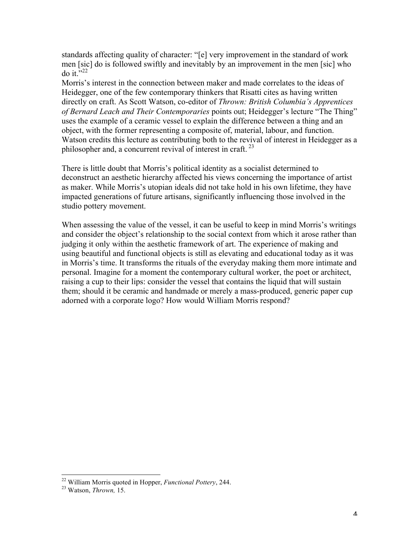standards affecting quality of character: "[e] very improvement in the standard of work men [sic] do is followed swiftly and inevitably by an improvement in the men [sic] who do it." $^{22}$ 

Morris's interest in the connection between maker and made correlates to the ideas of Heidegger, one of the few contemporary thinkers that Risatti cites as having written directly on craft. As Scott Watson, co-editor of *Thrown: British Columbia's Apprentices of Bernard Leach and Their Contemporaries* points out; Heidegger's lecture "The Thing" uses the example of a ceramic vessel to explain the difference between a thing and an object, with the former representing a composite of, material, labour, and function. Watson credits this lecture as contributing both to the revival of interest in Heidegger as a philosopher and, a concurrent revival of interest in craft.  $23$ 

There is little doubt that Morris's political identity as a socialist determined to deconstruct an aesthetic hierarchy affected his views concerning the importance of artist as maker. While Morris's utopian ideals did not take hold in his own lifetime, they have impacted generations of future artisans, significantly influencing those involved in the studio pottery movement.

When assessing the value of the vessel, it can be useful to keep in mind Morris's writings and consider the object's relationship to the social context from which it arose rather than judging it only within the aesthetic framework of art. The experience of making and using beautiful and functional objects is still as elevating and educational today as it was in Morris's time. It transforms the rituals of the everyday making them more intimate and personal. Imagine for a moment the contemporary cultural worker, the poet or architect, raising a cup to their lips: consider the vessel that contains the liquid that will sustain them; should it be ceramic and handmade or merely a mass-produced, generic paper cup adorned with a corporate logo? How would William Morris respond?

 <sup>22</sup> William Morris quoted in Hopper, *Functional Pottery*, 244. <sup>23</sup> Watson, *Thrown,* 15.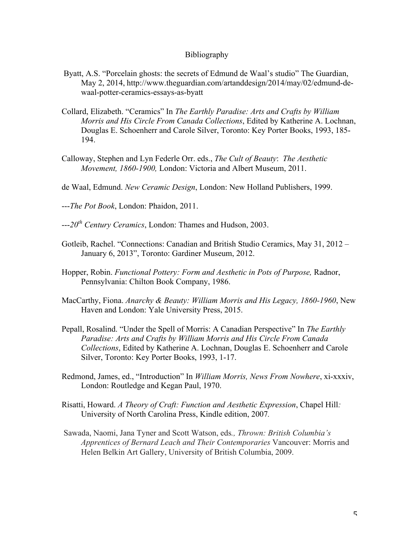## Bibliography

- Byatt, A.S. "Porcelain ghosts: the secrets of Edmund de Waal's studio" The Guardian, May 2, 2014, http://www.theguardian.com/artanddesign/2014/may/02/edmund-dewaal-potter-ceramics-essays-as-byatt
- Collard, Elizabeth. "Ceramics" In *The Earthly Paradise: Arts and Crafts by William Morris and His Circle From Canada Collections*, Edited by Katherine A. Lochnan, Douglas E. Schoenherr and Carole Silver, Toronto: Key Porter Books, 1993, 185- 194.
- Calloway, Stephen and Lyn Federle Orr. eds., *The Cult of Beauty*: *The Aesthetic Movement, 1860-1900,* London: Victoria and Albert Museum, 2011.
- de Waal, Edmund. *New Ceramic Design*, London: New Holland Publishers, 1999.
- ---*The Pot Book*, London: Phaidon, 2011.
- ---*20th Century Ceramics*, London: Thames and Hudson, 2003.
- Gotleib, Rachel. "Connections: Canadian and British Studio Ceramics, May 31, 2012 January 6, 2013", Toronto: Gardiner Museum, 2012.
- Hopper, Robin. *Functional Pottery: Form and Aesthetic in Pots of Purpose,* Radnor, Pennsylvania: Chilton Book Company, 1986.
- MacCarthy, Fiona. *Anarchy & Beauty: William Morris and His Legacy, 1860-1960*, New Haven and London: Yale University Press, 2015.
- Pepall, Rosalind. "Under the Spell of Morris: A Canadian Perspective" In *The Earthly Paradise: Arts and Crafts by William Morris and His Circle From Canada Collections*, Edited by Katherine A. Lochnan, Douglas E. Schoenherr and Carole Silver, Toronto: Key Porter Books, 1993, 1-17.
- Redmond, James, ed., "Introduction" In *William Morris, News From Nowhere*, xi-xxxiv, London: Routledge and Kegan Paul, 1970.
- Risatti, Howard. *A Theory of Craft: Function and Aesthetic Expression*, Chapel Hill*:*  University of North Carolina Press, Kindle edition, 2007*.*
- Sawada, Naomi, Jana Tyner and Scott Watson, eds*., Thrown: British Columbia's Apprentices of Bernard Leach and Their Contemporaries* Vancouver: Morris and Helen Belkin Art Gallery, University of British Columbia, 2009.